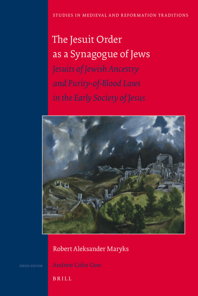# The Jesuit Order as a Synagogue of Jews Jesuits of Jewish Ancestry and Purity-of-Blood Laws in the Early Society of Jesus



# Robert Aleksander Maryks

**BRILL**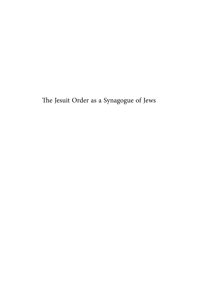The Jesuit Order as a Synagogue of Jews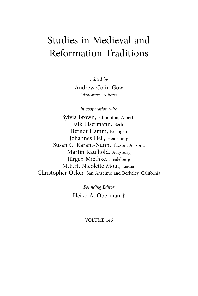# Studies in Medieval and Reformation Traditions

*Edited by*

Andrew Colin Gow Edmonton, Alberta

*In cooperation with*

Sylvia Brown, Edmonton, Alberta Falk Eisermann, Berlin Berndt Hamm, Erlangen Johannes Heil, Heidelberg Susan C. Karant-Nunn, Tucson, Arizona Martin Kaufhold, Augsburg Jürgen Miethke, Heidelberg M.E.H. Nicolette Mout, Leiden Christopher Ocker, San Anselmo and Berkeley, California

> *Founding Editor* Heiko A. Oberman †

# VOLUME 146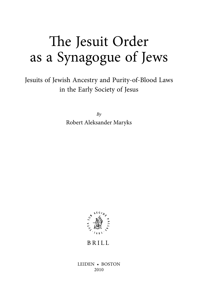# The Jesuit Order as a Synagogue of Jews

Jesuits of Jewish Ancestry and Purity-of-Blood Laws in the Early Society of Jesus

> *By* Robert Aleksander Maryks



**BRILL** 

LEIDEN • BOSTON 2010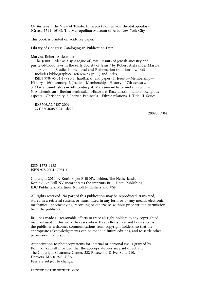*On the cover*: The View of Toledo. El Greco (Domenikos Theotokopoulos) (Greek, 1541-1614). The Metropolitan Museum of Arts, New York City.

This book is printed on acid-free paper.

Library of Congress Cataloging-in-Publication Data

Maryks, Robert Aleksander The Jesuit Order as a synagogue of Jews : Jesuits of Jewish ancestry and purity-of-blood laws in the early Society of Jesus / by Robert Aleksander Maryks. p. cm. — (Studies in medieval and Reformation traditions ; v. 146) Includes bibliographical references (p. ) and index. ISBN 978-90-04-17981-3 (hardback : alk. paper) 1. Jesuits—Membership— History—16th century. 2. Jesuits—Membership—History—17th century. 3. Marranos—History—16th century. 4. Marranos—History—17th century. 5. Antisemitism—Iberian Peninsula—History. 6. Race discrimination—Religious aspects—Christianity. 7. Iberian Peninsula—Ethnic relations. I. Title. II. Series.

 BX3706.A2.M37 2009 271,53046089924—dc22

2009035704

ISSN 1573-4188 ISBN 978 9004 17981 3

Copyright 2010 by Koninklijke Brill NV, Leiden, The Netherlands. Koninklijke Brill NV incorporates the imprints Brill, Hotei Publishing, IDC Publishers, Martinus Nijhoff Publishers and VSP.

All rights reserved. No part of this publication may be reproduced, translated, stored in a retrieval system, or transmitted in any form or by any means, electronic, mechanical, photocopying, recording or otherwise, without prior written permission from the publisher.

Brill has made all reasonable efforts to trace all right holders to any copyrighted material used in this work. In cases where these efforts have not been successful the publisher welcomes communications from copyright holders, so that the appropriate acknowledgements can be made in future editions, and to settle other permission matters.

Authorization to photocopy items for internal or personal use is granted by Koninklijke Brill provided that the appropriate fees are paid directly to The Copyright Clearance Center, 222 Rosewood Drive, Suite 910, Danvers, MA 01923, USA. Fees are subject to change.

printed in the netherlands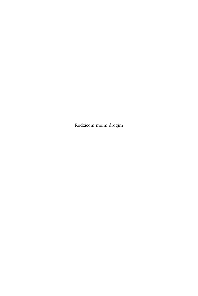Rodzicom moim drogim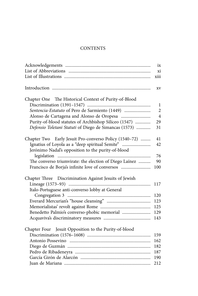# **CONTENTS**

|                                                        | ix             |
|--------------------------------------------------------|----------------|
|                                                        | xi             |
|                                                        | xiii           |
|                                                        | XV             |
| Chapter One The Historical Context of Purity-of-Blood  |                |
|                                                        | 1              |
| Sentencia-Estatuto of Pero de Sarmiento (1449)         | $\overline{2}$ |
|                                                        | $\overline{4}$ |
| Purity-of-blood statutes of Archbishop Silíceo (1547)  | 29             |
| Defensio Toletani Statuti of Diego de Simancas (1573)  | 31             |
| Chapter Two Early Jesuit Pro-converso Policy (1540-72) | 41             |
| Ignatius of Loyola as a "deep spiritual Semite"        | 42             |
| Jerónimo Nadal's opposition to the purity-of-blood     |                |
|                                                        | 76             |
| The converso triumvirate: the election of Diego Laínez | 90             |
| Francisco de Borja's infinite love of conversos        | 100            |
| Chapter Three Discrimination Against Jesuits of Jewish |                |
|                                                        | 117            |
| Italo-Portuguese anti-converso lobby at General        |                |
|                                                        | 120            |
|                                                        | 123            |
|                                                        | 125            |
| Benedetto Palmio's converso-phobic memorial            | 129            |
|                                                        | 143            |
| Chapter Four Jesuit Opposition to the Purity-of-blood  |                |
|                                                        | 159            |
|                                                        | 162            |
|                                                        | 182            |
|                                                        | 187            |
|                                                        | 190            |
|                                                        | 212            |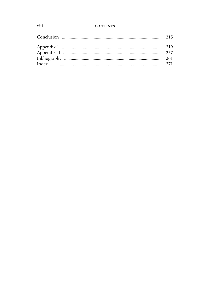### **CONTENTS**

# viii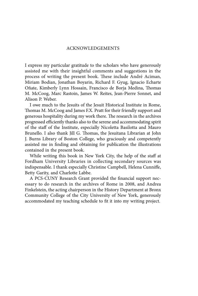## ACKNOWLEDGEMENTS

I express my particular gratitude to the scholars who have generously assisted me with their insightful comments and suggestions in the process of writing the present book. These include André Aciman, Miriam Bodian, Jonathan Boyarin, Richard F. Gyug, Ignacio Echarte Oñate, Kimberly Lynn Hossain, Francisco de Borja Medina, Thomas M. McCoog, Marc Rastoin, James W. Reites, Jean-Pierre Sonnet, and Alison P. Weber.

I owe much to the Jesuits of the Jesuit Historical Institute in Rome, Thomas M. McCoog and James F.X. Pratt for their friendly support and generous hospitality during my work there. The research in the archives progressed efficiently thanks also to the serene and accommodating spirit of the staff of the Institute, especially Nicoletta Basilotta and Mauro Brunello. I also thank Jill G. Thomas, the Jesuitana Librarian at John J. Burns Library of Boston College, who graciously and competently assisted me in finding and obtaining for publication the illustrations contained in the present book.

While writing this book in New York City, the help of the staff at Fordham University Libraries in collecting secondary sources was indispensable. I thank especially Christine Campbell, Helena Cunniffe, Betty Garity, and Charlotte Labbe.

A PCS-CUNY Research Grant provided the financial support necessary to do research in the archives of Rome in 2008, and Andrea Finkelstein, the acting chairperson in the History Department at Bronx Community College of the City University of New York, generously accommodated my teaching schedule to fit it into my writing project.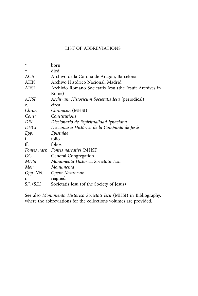# LIST OF ABBREVIATIONS

| born                                                    |
|---------------------------------------------------------|
| died                                                    |
| Archivo de la Corona de Aragón, Barcelona               |
| Archivo Histórico Nacional, Madrid                      |
| Archivio Romano Societatis Iesu (the Jesuit Archives in |
| Rome)                                                   |
| Archivum Historicum Societatis Iesu (periodical)        |
| circa                                                   |
| Chronicon (MHSI)                                        |
| Constitutions                                           |
| Diccionario de Espiritualidad Ignaciana                 |
| Diccionario Histórico de la Compañía de Jesús           |
| Epistulae                                               |
| folio                                                   |
| folios                                                  |
| Fontes narr. Fontes narrativi (MHSI)                    |
| <b>General Congregation</b>                             |
| Monumenta Historica Societatis Iesu                     |
| Monumenta                                               |
| Opp. NN. Opera Nostrorum                                |
| reigned                                                 |
| Societatis Iesu (of the Society of Jesus)               |
|                                                         |

See also *Monumenta Historica Societati Iesu* (MHSI) in Bibliography, where the abbreviations for the collection's volumes are provided.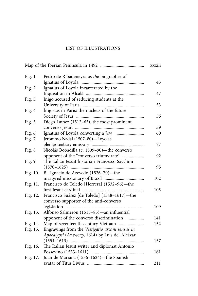# LIST OF ILLUSTRATIONS

| Fig. 1.  | Pedro de Ribadeneyra as the biographer of       |     |
|----------|-------------------------------------------------|-----|
|          |                                                 | 43  |
| Fig. 2.  | Ignatius of Loyola incarcerated by the          |     |
|          |                                                 | 47  |
| Fig. 3.  | Íñigo accused of seducing students at the       |     |
|          |                                                 | 53  |
| Fig. 4.  | Íñigistas in Paris: the nucleus of the future   |     |
|          |                                                 | 56  |
| Fig. 5.  | Diego Laínez (1512-65), the most prominent      |     |
|          |                                                 | 59  |
| Fig. 6.  |                                                 | 60  |
| Fig. 7.  | Jerónimo Nadal (1507-80)-Loyola's               |     |
|          |                                                 | 77  |
| Fig. 8.  | Nicolás Bobadilla (c. 1509-90)-the converso     |     |
|          | opponent of the "converso triumvirate"          | 92  |
| Fig. 9.  | The Italian Jesuit historian Francesco Sacchini |     |
|          |                                                 | 95  |
| Fig. 10. | Bl. Ignacio de Azevedo (1526-70)—the            |     |
|          |                                                 | 102 |
| Fig. 11. | Francisco de Toledo [Herrera] (1532-96)-the     |     |
|          |                                                 | 105 |
| Fig. 12. | Francisco Suárez [de Toledo] (1548-1617)-the    |     |
|          | converso supporter of the anti-converso         |     |
|          |                                                 | 109 |
| Fig. 13. | Alfonso Salmerón (1515-85) — an influential     |     |
|          | opponent of the converso discrimination         | 141 |
| Fig. 14. | Map of seventeenth-century Vietnam              | 152 |
| Fig. 15. | Engravings from the Vestigatio arcani sensus in |     |
|          | Apocalypsi (Antwerp, 1614) by Luis del Alcázar  |     |
|          |                                                 | 157 |
| Fig. 16. | The Italian Jesuit writer and diplomat Antonio  |     |
|          |                                                 | 161 |
| Fig. 17. | Juan de Mariana (1536-1624)-the Spanish         |     |
|          |                                                 | 211 |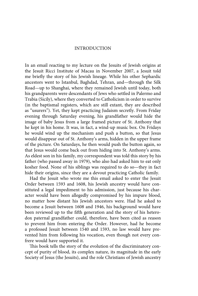## INTRODUCTION

In an email reacting to my lecture on the Jesuits of Jewish origins at the Jesuit Ricci Institute of Macau in November 2007, a Jesuit told me briefly the story of his Jewish lineage. While his other Sephardic ancestors went to Istanbul, Baghdad, Tehran, and—through the Silk Road—up to Shanghai, where they remained Jewish until today, both his grandparents were descendants of Jews who settled in Palermo and Trabia (Sicily), where they converted to Catholicism in order to survive (in the baptismal registers, which are still extant, they are described as "usurers"). Yet, they kept practicing Judaism secretly. From Friday evening through Saturday evening, his grandfather would hide the image of baby Jesus from a large framed picture of St. Anthony that he kept in his home. It was, in fact, a wind-up music box. On Fridays he would wind up the mechanism and push a button, so that Jesus would disappear out of St. Anthony's arms, hidden in the upper frame of the picture. On Saturdays, he then would push the button again, so that Jesus would come back out from hiding into St. Anthony's arms. As eldest son in his family, my correspondent was told this story by his father (who passed away in 1979), who also had asked him to eat only kosher food. None of his siblings was required to do so—they in fact hide their origins, since they are a devout practicing Catholic family.

Had the Jesuit who wrote me this email asked to enter the Jesuit Order between 1593 and 1608, his Jewish ancestry would have constituted a legal impediment to his admission, just because his character would have been allegedly compromised by his impure blood, no matter how distant his Jewish ancestors were. Had he asked to become a Jesuit between 1608 and 1946, his background would have been reviewed up to the fifth generation and the story of his heterodox paternal grandfather could, therefore, have been cited as reason to prevent him from entering the Order. However, had he become a professed Jesuit between 1540 and 1593, no law would have prevented him from following his vocation, even though not every confrere would have supported it.

This book tells the story of the evolution of the discriminatory concept of purity of blood, its complex nature, its magnitude in the early Society of Jesus (the Jesuits), and the role Christians of Jewish ancestry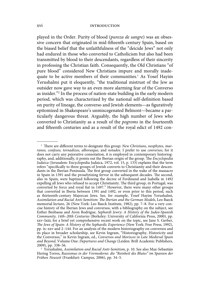played in the Order. Purity of blood (*pureza de sangre*) was an obsessive concern that originated in mid-fifteenth-century Spain, based on the biased belief that the unfaithfulness of the "deicide Jews" not only had endured in those who converted to Catholicism but also had been transmitted by blood to their descendants, regardless of their sincerity in professing the Christian faith. Consequently, the Old Christians "of pure blood" considered New Christians impure and morally inadequate to be active members of their communities.<sup>1</sup> As Yosef Hayim Yerushalmi put it eloquently, "the traditional mistrust of the Jew as outsider now gave way to an even more alarming fear of the Converso as insider."2 In the process of nation-state building in the early modern period, which was characterized by the national self-definition based on purity of lineage, the converso and Jewish elements—as figuratively epitomized in Shakespeare's unmiscegenated Belmont—became a particularly dangerous threat. Arguably, the high number of Jews who converted to Christianity as a result of the *pogroms* in the fourteenth and fifteenth centuries and as a result of the royal edict of 1492 con-

<sup>&</sup>lt;sup>1</sup> There are different terms to designate this group: *New Christians, neophytes, marranos, confesos, tornadizos, alboraique*, and *notados*. I prefer to use *conversos*, for it does not carry any pejorative connotation, it is employed in contemporary historiography, and, additionally, it points out the Iberian origin of the group. The *Encyclopedia Judaica* (Jerusalem: Encyclopedia Judaica, 1972, vol. 15, p. 133) explains that the term refers "specifically to three groups of Jewish converts to Christianity and their descendants in the Iberian Peninsula. The first group converted in the wake of the massacre in Spain in 1391 and the proselytizing fervor in the subsequent decades. The second, also in Spain, were baptized following the decree of Ferdinand and Isabella in 1492 expelling all Jews who refused to accept Christianity. The third group, in Portugal, was converted by force and royal fiat in 1497." However, there were many other groups that converted in Iberia between 1391 and 1492, or even prior to this period, such as thirteenth-century Majorcan Jews. See, for example, Yosef Hayim Yerushalmi, Assimilation and Racial Anti-Semitism: The Iberian and the German Models, Leo Baeck memorial lecture, 26 (New York: Leo Baeck Institute, 1982), pp. 7–8. For a very concise history of the Iberian Jews and conversos, with a bibliography on the subject, see Esther Benbassa and Aron Rodrigue, *Sephardi Jewry: A History of the Judeo-Spanish Community, 14th–20th Centuries* (Berkeley: University of California Press, 2000), pp. xxv–lxiii; for a brief yet comprehensive recent work on the topic, see Jane S. Gerber, *The Jews of Spain: A History of the Sephardic Experience* (New York: Free Press, 1992), pp. ix–xxv and 2–144. For an analysis of the modern historiography on conversos and its place in broader scholarship, see Kevin Ingram, "Historiography, Historicity and the Conversos," in Kevin Ingram, ed., *Conversos and Moriscos in Late Medieval Spain and Beyond*, Volume One: *Departures and Change* (Leiden: Brill Academic Publishers, 2009), pp. 338–56.

<sup>2</sup> Yerushalmi, *Assimilation and Racial Anti-Semitism*, p. 10. See also Max-Sebastián Hering Torres, *Rassismus in der Vormoderne: die "Reinheit des Blutes" im Spanien der Frühen Neuzeit* (Frankfurt: Campus, 2006), pp. 34–5.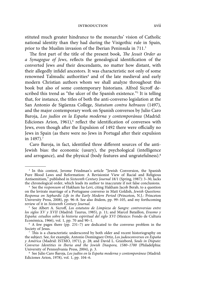#### introduction xvii

stituted much greater hindrance to the monarchs' vision of Catholic national identity than they had during the Visigothic rule in Spain, prior to the Muslim invasion of the Iberian Peninsula in 711.<sup>3</sup>

The first part of the title of the present book, *The Jesuit Order as a Synagogue of Jews*, reflects the genealogical identification of the converted Jews *and* their descendants, no matter how distant, with their allegedly infidel ancestors. It was characteristic not only of some renowned Talmudic authorities<sup>4</sup> and of the late medieval and early modern Christian authors whom we shall analyze throughout this book but also of some contemporary historians. Alfred Sicroff described this trend as "the ulcer of the Spanish existence."5 It is telling that, for instance, the titles of both the anti-converso legislation at the San Antonio de Sigüenza College, *Statutum contra hebraeos* (1497), and the major contemporary work on Spanish conversos by Julio Caro Baroja, *Los judíos en la España moderna y contemporánea* (Madrid: Ediciones Arion,  $1961$ ,  $6$  reflect the identification of conversos with Jews, even though after the Expulsion of 1492 there were officially no Jews in Spain (as there were no Jews in Portugal after their expulsion in 1497).<sup>7</sup>

Caro Baroja, in fact, identified three different sources of the anti-Jewish bias: the economic (usury), the psychological (intelligence and arrogance), and the physical (body features and ungratefulness).<sup>8</sup>

<sup>&</sup>lt;sup>3</sup> In this context, Jerome Friedman's article "Jewish Conversion, the Spanish Pure Blood Laws and Reformation: A Revisionist View of Racial and Religious Antisemitism," published in *Sixteenth Century Journal* 18/1 (Spring, 1987): 3–30, lacks the chronological order, which leads its author to inaccurate if not false conclusions.

<sup>4</sup> See the *responsum* of Hakham ha-Levi, citing Hakham Jacob Berab, to a question on the levirate marriage of a Portuguese converso in Matt Goldish, *Jewish Questions: Responsa on Sephardic Life in the Early Modern Period* (Princeton, N.J.: Princeton University Press, 2008), pp. 96–8. See also ibidem, pp. 99–105, and my forthcoming review of it in *Sixteenth Century Journal*.

<sup>&</sup>lt;sup>5</sup> See Albert A. Sicroff, Los estatutos de Limpieza de Sangre: controversias entre *los siglos XV y XVII* (Madrid: Taurus, 1985), p. 11; and Marcel Bataillon, *Erasmo y España: estudios sobre la historia espiritual del siglo XVI* (Mexico: Fondo de Cultura Económica, 1966), vol. 1, pp. 70 and 90–1.

<sup>6</sup> A few pages there (pp. 231–7) are dedicated to the converso problem in the Society of Jesus.

 $\frac{7}{7}$  This is a characteristic underscored by both older and recent historiography on the subject. See, for example, Antonio Domínguez Ortiz, *Los judeoconversos en España y América* (Madrid: ISTMO, 1971), p. 28; and David L. Graizbord, *Souls in Dispute: Converso Identities in Iberia and the Jewish Diaspora, 1580–1700* (Philadelphia: University of Pennsylvania Press, 2004), p. 3.

<sup>8</sup> See Julio Caro Baroja, *Los judíos en la España moderna y contemporánea* (Madrid: Ediciones Arion, 1978), vol. 1, pp. 104–6.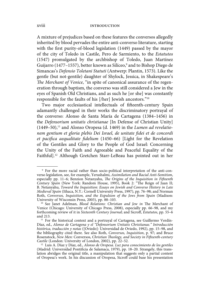A mixture of prejudices based on these features the conversos allegedly inherited by blood pervades the entire anti-converso literature, starting with the first purity-of-blood legislation (1449) passed by the mayor of the city of Toledo in Castile, Pero de Sarmiento, to the *Estatutos*  (1547) promulgated by the archbishop of Toledo, Juan Martínez Guijarro (1477–1557), better known as Silíceo,<sup>9</sup> and to Bishop Diego de Simancas's *Defensio Toletani Statuti* (Antwerp: Plantin, 1573). Like the gentle (but not-gentile) daughter of Shylock, Jessica, in Shakespeare's *The Merchant of Venice*, "in spite of canonical assurance of the regeneration through baptism, the converso was still considered a Jew in the eyes of Spanish Old Christians, and as such he [or she] was constantly responsible for the faults of his [/her] Jewish ancestors."10

Two major ecclesiastical intellectuals of fifteenth-century Spain adamantly challenged in their works the discriminatory portrayal of the converso: Alonso de Santa María de Cartagena (1384–1456) in the *Defensorium unitatis christianae* [In Defense of Christian Unity] (1449–50),<sup>11</sup> and Alonso Oropesa (d. 1469) in the *Lumen ad revelatio*nem gentium et gloria plebis Dei Israel, de unitate fidei et de concordi et pacifica aequalitate fidelium (1450–66) [Light for the Revelation of the Gentiles and Glory to the People of God Israel: Concerning the Unity of the Faith and Agreeable and Peaceful Equality of the Faithful].12 Although Gretchen Starr-LeBeau has pointed out in her

 <sup>9</sup> For the more racial rather than socio-political interpretation of the anti-converso legislation, see, for example, Yerushalmi, *Assimilation and Racial Anti-Semitism*, especially pp. 11–6; Benzion Netanyahu, *The Origins of the Inquisition in Fifteenth Century Spain (New York: Random House, 1995), Book 2: "The Reign of Juan II;* B. Netanyahu, *Toward the Inquisition: Essays on Jewish and Converso History in Late Medieval Spain* (Ithaca, N.Y.: Cornell University Press, 1997), pp. 76–98; and Norman Roth, *Conversos, Inquisition, and the Expulsion of the Jews from Spain* (Madison: University of Wisconsin Press, 2003), pp. 88–103.

<sup>&</sup>lt;sup>10</sup> See Janet Adelman, *Blood Relations: Christian and Jew in* The Merchant of Venice (Chicago: University of Chicago Press, 2008), especially pp. 66–98, and my forthcoming review of it in *Sixteenth Century Journal*; and Sicroff, *Estatutos*, pp. 55-6 and 213.

<sup>&</sup>lt;sup>11</sup> For the historical context and a portrayal of Cartagena, see Guillermo Verdín-Díaz, ed., *Alonso de Cartagena y el "Defensorium Unitatis Christianae." Introducción histórica, traducción y notas* ([Oviedo]: Universidad de Oviedo, 1992), pp. 15–98, and the bibliography cited there. See also Roth, *Conversos, Inquisition*, p. 97; and Bruce Rosenstock, New Men: Conversos, Christian Theology, and Society in Fifteenth-century Castile (London: University of London, 2002), pp. 22-52.

<sup>12</sup> Luis A. Díaz y Díaz, ed., *Alonso de Oropesa. Luz para conocimiento de los gentiles*  (Madrid: Universidad Pontificia de Salamaca, 1979), pp. 18-20. Strangely, this translation abridges the original title, a manipulation that suggests only a partial content of Oropesa's work. In his discussion of Oropesa, Sicroff could base his presentation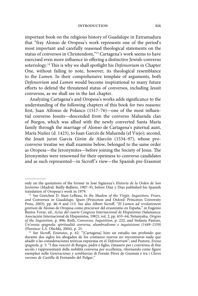important book on the religious history of Guadalupe in Extramadura that "fray Alonso de Oropesa's work represents one of the period's most important and carefully reasoned theological statements on the status of conversos in Christendom,"13 Cartagena's work seems to have exercised even more influence in offering a distinctive Jewish-converso soteriology.<sup>14</sup> This is why we shall spotlight his *Defensorium* in Chapter One, without failing to note, however, its theological resemblance to the *Lumen*. In their comprehensive template of arguments, both *Defensorium* and *Lumen* would become inspirational to many future efforts to defend the threatened status of conversos, including Jesuit conversos, as we shall see in the last chapter.

Analyzing Cartagena's and Oropesa's works adds significance to the understanding of the following chapters of this book for two reasons: first, Juan Alfonso de Polanco  $(1517-76)$ —one of the most influential converso Jesuits—descended from the converso Maluenda clan of Burgos, which was allied with the newly converted Santa María family through the marriage of Alonso de Cartagena's paternal aunt, María Nuñez (d. 1423), to Juan Garcés de Maluenda (el Viejo); second, the Jesuit jurist García Girón de Alarcón (1534–97), whose proconverso treatise we shall examine below, belonged to the same order as Oropesa—the Jeronymites—before joining the Society of Jesus. The Jeronymites were renowned for their openness to converso candidates and as such represented—in Sicroff 's view—the Spanish pre-Erasmist

only on the quotations of the former in José Sigüenza's *Historia de la Orden de San Jerónimo* (Madrid: Bailly-Balliére, 1907–9), before Díaz y Díaz published his Spanish translation of Oropesa's work in 1979.

<sup>13</sup> See Gretchen D. Starr-LeBeau, *In the Shadow of the Virgin. Inquisitors, Friars, and* Conversos *in Guadalupe, Spain* (Princeton and Oxford: Princeton University Press, 2003), pp. 46-9 and 113. See also Albert Sicroff, "*El Lumen ad revelationem gentium* de Alonso de Oropesa como precursor del erasmismo en España," in Eugenio Bustos Tovar, ed., *Actas del cuarto Congreso Internacional de Hispanistas* (Salamanca: Asociación Internacional de Hispanistas, 1982), vol. 2, pp. 655–64; Netanyahu, *Origins of the Inquisition*, p. 896; Roth, *Conversos, Inquisition*, p. 232; and Stefania Pastore, *Un'eresia spagnola: spiritualità conversa, alumbradismo e inquisizione (1449–1559)* (Florence: L.S. Olschki, 2004), p. 25.

<sup>&</sup>lt;sup>14</sup> See Sicroff, *Estatutos*, p. 62: "[Cartagena] hizo un estudio tan profundo que durante dos siglos los abogados de los cristianos nuevos no encontraron nada que añadir a las consideraciones teóricas expuestas en el *Defensorium*"; and Pastore, *Eresia*  spagnola, p. 5: "I due vescovi di Burgos, padre e figlio, rimasero per i conversos di fine secolo i rappresentanti della nobilità conversa per eccellenza, ritornando come figure esemplari nelle *Generaciones y semblanzas* di Fernán Pérez de Guzmán e tra i *Claros varones de Castilla* di Fernando del Pulgar."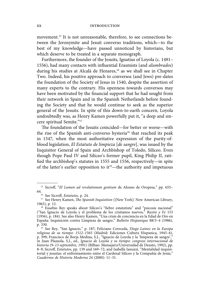movement.15 It is not unreasonable, therefore, to see connections between the Jeronymite and Jesuit converso traditions, which—to the best of my knowledge—have passed unnoticed by historians, but which deserve to be treated in a separate monograph.

Furthermore, the founder of the Jesuits, Ignatius of Loyola (c. 1491– 1556), had many contacts with influential Erasmists (and *alumbrados*) during his studies at Alcalá de Henares,<sup>16</sup> as we shall see in Chapter Two. Indeed, his positive approach to conversos (and Jews) pre-dates the foundation of the Society of Jesus in 1540, despite the assertion of many experts to the contrary. His openness towards conversos may have been motivated by the financial support that he had sought from their network in Spain and in the Spanish Netherlands before founding the Society and that he would continue to seek as the superior general of the Jesuits. In spite of this down-to-earth concern, Loyola undoubtedly was, as Henry Kamen powerfully put it, "a deep and sincere spiritual Semite."17

The foundation of the Jesuits coincided—for better or worse—with the rise of the Spanish anti-converso hysteria<sup>18</sup> that reached its peak in 1547, when the most authoritative expression of the purity-ofblood legislation, *El Estatuto de limpieza* [*de sangre*], was issued by the Inquisitor General of Spain and Archbishop of Toledo, Silíceo. Even though Pope Paul IV and Silíceo's former pupil, King Philip II, ratified the archbishop's statutes in 1555 and 1556, respectively—in spite of the latter's earlier opposition to it<sup>19</sup>—the authority and impetuous

<sup>&</sup>lt;sup>15</sup> Sicroff, "*El Lumen ad revelationem gentium* de Alonso de Oropesa," pp. 655– 64.<br><sup>16</sup> See Sicroff, *Estatutos*, p. 24.

<sup>&</sup>lt;sup>17</sup> See Henry Kamen, *The Spanish Inquisition* ([New York]: New American Library, 1965), p. 12.

 $18$  Eusebio Rey speaks about Silíceo's "fiebre estatutista" and "psicosis nacional" ("San Ignacio de Loyola y el problema de los cristianos nuevos," *Razón y Fe* 153 (1956), p. 184). See also Henry Kamen, "Una crisis de conciencia en la Edad de Oro en España: Inquisición contra Limpieza de sangre," *Bulletin Hispanique* 88/3–4 (1986), p. 330.

<sup>19</sup> See Rey, "San Ignacio," p. 187; Feliciano Cereceda, *Diego Laínez en la Europa religiosa de su tiempo: 1512–1565* (Madrid: Ediciones Cultura Hispanica, 1945–6), p. 399; Francisco de Borja Medina, S.J., "Ignacio de Loyola y la 'limpieza de sangre'," in Juan Plazaola, S.J., ed., *Ignacio de Loyola y su tiempo: congreso internacional de historia (9–13 septiembre, 1991)* (Bilbao: Mensajero/Universidad de Deusto, 1992), pp. 8-9; Sicroff, *Estatutos*, pp. 139 and 169-72; and Isabella Ianuzzi, "Mentalidad inquisitorial y jesuitas: el enfrentamiento entre el Cardenal Silíceo y la Compañía de Jesús," *Cuadernos de Historia Moderna* 24 (2000): 11–31.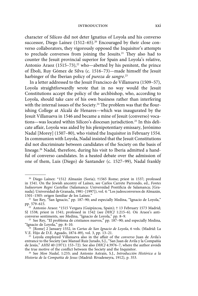character of Silíceo did not deter Ignatius of Loyola and his converso successor, Diego Laínez  $(1512-65)$ <sup>20</sup> Encouraged by their close converso collaborators, they vigorously opposed the Inquisitor's attempts to preclude conversos from joining the Jesuits.<sup>21</sup> They also had to counter the Jesuit provincial superior for Spain and Loyola's relative, Antonio Araoz  $(1515-73),^{22}$  who—abetted by his penitent, the prince of Éboli, Ruy Gómez de Silva (c. 1516–73)—made himself the Jesuit harbinger of the Iberian policy of *pureza de sangre*. 23

In a letter addressed to the Jesuit Francisco de Villanueva (1509–57), Loyola straightforwardly wrote that in no way would the Jesuit Constitutions accept the policy of the archbishop, who, according to Loyola, should take care of his own business rather than interfering with the internal issues of the Society.<sup>24</sup> The problem was that the flourishing College at Alcalá de Henares—which was inaugurated by the Jesuit Villanueva in 1546 and became a mine of Jesuit (converso) vocations—was located within Silíceo's diocesan jurisdiction.25 In this delicate affair, Loyola was aided by his plenipotentiary emissary, Jerónimo Nadal [Morey] (1507–80), who visited the Inquisitor in February 1554. In communion with Loyola, Nadal insisted that the Jesuit Constitutions did not discriminate between candidates of the Society on the basis of lineage.26 Nadal, therefore, during his visit to Iberia admitted a handful of converso candidates. In a heated debate over the admission of one of them, Luis (Diego) de Santander (c. 1527–99), Nadal frankly

<sup>20</sup> Diego Laínez: \*1512 Almazán (Soria); †1565 Rome; priest in 1537; professed in 1541. On the Jewish ancestry of Laínez, see Carlos Carrete Parrondo, ed., *Fontes*  Iudaeorum Regni Castellae (Salamanca: Universidad Pontificia de Salamanca; [Granada]: Universidad de Granada, 1981–[1997]), vol. 4: "Los judeoconversos de Almazán,

<sup>&</sup>lt;sup>21</sup> See Rey, "San Ignacio," pp. 187–90; and especially Medina, "Ignacio de Loyola," pp. 579–615.

<sup>22</sup> Antonio Araoz: \*1515 Vergara (Guipúzcoa, Spain); † 13 February 1573 Madrid; SJ 1538; priest in 1541; professed in 1542 (see *DHCJ* 1:215–6). On Araoz's anticonverso sentiments, see Medina, "Ignacio de Loyola," pp. 8–9.

<sup>&</sup>lt;sup>23</sup> See Rey, "El problema de cristianos nuevos," pp.  $187-90$ ; and especially Medina, "Ignacio de Loyola," pp. 8–10.

<sup>24 [</sup>Rome] 2 January 1552, in *Cartas de San Ignacio de Loyola*, 6 vols. (Madrid: La V.E. Hijo de D.E. Aguado, 1874–89), vol. 3, pp. 13–21.

<sup>&</sup>lt;sup>25</sup> Loyola employed Villanueva also in the affair of the *converso* Juan de Ávila's entrance to the Society (see Manuel Ruiz Jurado, S.J., "San Juan de Avila y la Compañía de Jesús," *AHSI* 40 (1971): 153–72). See also *DHCJ* 4:3976–7, where the author avoids the true motive of the conflict between the Society and the Inquisitor.

<sup>26</sup> See *Mon Nadal*, 1:233; and Antonio Astrain, S.J., *Introducción Histórica a la Historia de la Compañía de Jesus* (Madrid: Rivadeneyra, 1912), p. 353.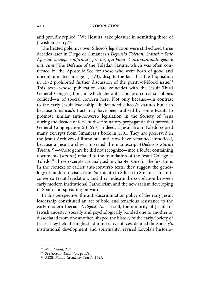and proudly replied: "We [Jesuits] take pleasure in admitting those of Jewish ancestry."27

The heated polemics over Silíceo's legislation were still echoed three decades later in Diego de Simancas's *Defensio Toletani Statuti a Sede Apostolica saepe confi rmati, pro his, qui bono et incontaminato genere nati sunt* [The Defense of the Toledan Statute, which was often confirmed by the Apostolic See for those who were born of good and uncontaminated lineage] (1573), despite the fact that the Inquisition in 1572 prohibited further discussion of the purity-of-blood issue.<sup>28</sup> This text-whose publication date coincides with the Jesuit Third General Congregation, in which the anti- and pro-converso lobbies collided—is of special concern here. Not only because—in contrast to the early Jesuit leadership—it defended Silíceo's statutes but also because Simancas's tract may have been utilized by some Jesuits to promote similar anti-converso legislation in the Society of Jesus during the decade of fervent discriminatory propaganda that preceded General Congregation 5 (1593). Indeed, a Jesuit from Toledo copied many excerpts from Simancas's book in 1591. They are preserved in the Jesuit Archives of Rome but until now have remained unnoticed, because a Jesuit archivist inserted the manuscript (*Defensio Statuti Toletani*)—whose genre he did not recognize—into a folder containing documents (*statuta*) related to the foundation of the Jesuit College at Toledo.<sup>29</sup> These excerpts are analyzed in Chapter One for the first time. In the context of earlier anti-converso texts, they suggest the genealogy of modern racism, from Sarmiento to Silíceo to Simancas to anticonverso Jesuit legislation, and they indicate the correlation between early modern institutional Catholicism and the new racism developing in Spain and spreading outwards.

In this perspective, the anti-discrimination policy of the early Jesuit leadership constituted an act of bold and tenacious resistance to the early modern Iberian *Zeitgeist*. As a result, the minority of Jesuits of Jewish ancestry, socially and psychologically bonded one to another or dissociated from one another, shaped the history of the early Society of Jesus. They held the highest administrative offices, defined the Society's institutional development and spirituality, revised Loyola's historio-

<sup>27</sup> *Mon Nadal*, 2:21.

<sup>&</sup>lt;sup>28</sup> See Sicroff, *Estatutos*, p. 178.

<sup>29</sup> ARSI, *Fondo Gesuitico, Toledo 1641*.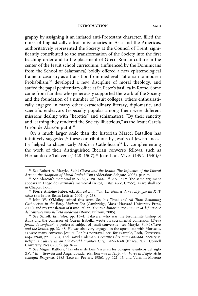#### introduction xxiii

graphy by assigning it an inflated anti-Protestant character, filled the ranks of linguistically adroit missionaries in Asia and the Americas, authoritatively represented the Society at the Council of Trent, significantly contributed to the transformation of the Society into the first teaching order and to the placement of Greco-Roman culture in the center of the Jesuit school curriculum, (influenced by the Dominicans from the School of Salamanca) boldly offered a new epistemological frame to casuistry as a transition from medieval Tutiorism to modern Probabilism,<sup>30</sup> developed a new discipline of moral theology, and staffed the papal penitentiary office at St. Peter's basilica in Rome. Some came from families who generously supported the work of the Society and the foundation of a number of Jesuit colleges; others enthusiastically engaged in many other extraordinary literary, diplomatic, and scientific endeavors (especially popular among them were different missions dealing with "heretics" and schismatics). "By their sanctity and learning they rendered the Society illustrious," as the Jesuit García Girón de Alarcón put it.<sup>31</sup>

On a much larger scale than the historian Marcel Bataillon has intuitively suggested, $32$  these contributions by Jesuits of Jewish ancestry helped to shape Early Modern Catholicism<sup>33</sup> by complementing the work of their distinguished Iberian converso fellows, such as Hernando de Talavera (1428–1507),<sup>34</sup> Joan Lluís Vives (1492–1540),<sup>35</sup>

<sup>&</sup>lt;sup>30</sup> See Robert A. Maryks, *Saint Cicero and the Jesuits. The Influence of the Liberal Arts on the Adoption of Moral Probabilism* (Aldershot: Ashgate, 2008), passim.

<sup>&</sup>lt;sup>31</sup> See Alarcón's memorial in ARSI, *Instit. 184/I*, ff. 297<sup>*r*</sup>-312<sup>*v*</sup>. The same argument appears in Diego de Guzmán's memorial (ARSI, *Instit. 186e*, f. 255v ), as we shall see in Chapter Four.

<sup>32</sup> Pierre-Antoine Fabre, ed., *Marcel Bataillon. Les Jésuites dans l'Espagne du XVIe siècle* (Paris: Les Belles Lettres, 2009), p. 238.

<sup>&</sup>lt;sup>33</sup> John W. O'Malley coined this term. See his *Trent and All That: Renaming Catholicism in the Early Modern Era* (Cambridge, Mass.: Harvard University Press, 2000), and my translation of it into Italian, *Trento e dintorni. Per una nuova defi nizione del cattolicesimo nell'età moderna* (Rome: Bulzoni, 2005).

<sup>&</sup>lt;sup>34</sup> See Sicroff, *Estatutos*, pp. 13-4. Talavera, who was the Jeronymite bishop of Ávila and the confessor of Queen Isabella, wrote on sacramental confession (*Breve forma de confesar*), a preferred subject of Jesuit conversos—see Maryks, *Saint Cicero and the Jesuits*, pp. 32–48. He was also very engaged in the apostolate with Moriscos, as were many converso Jesuits. For his portrayal, see, for example, Roth, *Conversos, Inquisition*, pp. 152–4; and David Coleman, *Creating Christian Granada: Society & Religious Culture in an Old-World Frontier City, 1492–1600* (Ithaca, N.Y.: Cornell University Press, 2003), pp. 82–7.

<sup>35</sup> See Miguel Battlori, "Las obras de Luis Vives en los colegios jesuiticos del siglo XVI," in J. Ijsewijn and Angel Losada, eds, *Erasmus in Hispania, Vives in Belgio. Acta colloquii Brugensis, 1985* (Leuven: Peeters, 1986), pp. 121–45; and Valentín Moreno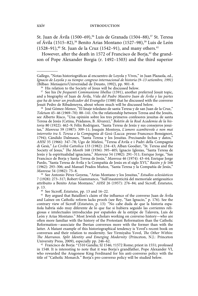St. Juan de Ávila (1500–69),<sup>36</sup> Luis de Granada (1504–88),<sup>37</sup> St. Teresa of Ávila (1515–82),<sup>38</sup> Benito Arias Montano (1527–98),<sup>39</sup> Luis de León (1528–91), $40$  St. Juan de la Cruz (1542–91), and many others. $41$ 

However, after the death in 1572 of Francisco de Borja,<sup>42</sup> the grandson of Pope Alexander Borgia (r. 1492–1503) and the third superior

38 José Gómez-Menor, "El linaje toledano de santa Teresa y de san Juan de la Cruz," *Toletum* 45–46 (1969–70): 88–141. On the relationship between Teresa and the Jesuits, see Alberto Risco, "Una opinión sobre los tres primeros confesores jesuitas de santa Teresa de Jesús (Cetina, Prádanos, B. Álvarez)," *Boletín de la Real Academia de la historia* 80 (1922): 462–9; Félix Rodriguez, "Santa Teresa de Jesús y sus consejeros jesuitas," *Manresa* 59 (1987): 309–11; Joaquín Montoya, *L'amore scambievole e non mai interrotto tra S. Teresa e la Compagnia di Gesù* (Lucca: presso Francesco Bonsignori, 1794); Cándido Dalmases, "Santa Teresa y los Jesuitas. Precisando fechas y datos," *AHSI* 35 (1966): 347–78; Ugo de Mielesi, "Teresa d'Avila e i Padri della Compagnia di Gesù," *La Civiltà Cattolica* 133 (1982): 234–43; Alban Goodier, "St. Teresa and the Society of Jesus," *The Month 168* (1936): 395-405; Ignacio Iglesias, "Santa Teresa de Jesús y la espiritualidad ignaciana," *Manresa* 54 (1982): 291–311; Enrique Jorge, "San Francisco de Borja y Santa Teresa de Jesús," *Manresa* 46 (1974): 43–64; Enrique Jorge Pardo, "Santa Teresa de Ávila y la Compañía de Jesús en el siglo XVI," *Razón y fe* 166 (1962): 293–306; and Manuel Prados Muñoz, "Santa Teresa y la Compañía de Jesús," *Manresa* 54 (1982): 75–8.

39 See Antonio Pérez Goyena, "Arias Montano y los Jesuitas," *Estudios eclesiásticos* 7 (1928): 273–317; Robert Giammanco, "Sull'inautenticità del memoriale antigesuitico attribuito a Benito Arias Montano," AHSI 26 (1957): 276-84; and Sicroff, *Estatutos*, p. 13.

<sup>40</sup> See Sicroff, *Estatutos*, pp. 13 and 16-22.

 $41$  Rey argued that Bataillon's claim of the influence of the converso Juan de Ávila and Laínez on Catholic reform lacks proofs (see Rey, "San Ignacio," p. 176). See the contrary view of Sicroff (*Estatutos*, p. 13): "No cabe duda de que la historia española habría sido muy diferente de lo que fue si hubiera seguido las corrientes religiosas e intelectuales introducidas por españoles de la estirpe de Talavera, Luis de León y Arias Montano." Most Jewish scholars working on converso history—who are often more familiar with the history of the Protestant Reformation than the Catholic Reformation—associate the Iberian conversos more with the former than with the latter. A blatant example of this historiographical tendency is Yovel's recent book on conversos and their relation to modernity. See Yirmiyahu Yovel, *The Other Within*: *The Marranos. Split Identity and Emerging Modernity* (Princeton, N.J.: Princeton<br>University Press, 2009), especially pp. 246–62.

<sup>42</sup> Francisco de Borja: \*1510 Gandía; SJ 1546; †1572 Rome; priest in 1551; professed in 1548. It is interesting to note that it was Borja's grandfather, Pope Alexander VI, who rewarded the Aragonese King Ferdinand for his anti-converso policy with the title of "Catholic Monarch." Borja's pro-converso policy will be studied below.

Gallego, "Notas historiográficas al encuentro de Loyola y Vives," in Juan Plazaola, ed., *Ignacio de Loyola y su tiempo: congreso internacional de historia (9–13 setiembre, 1991)*  (Bilbao: Mensajero/Universidad de Deusto, 1992), pp. 901–8.

<sup>&</sup>lt;sup>36</sup> His relation to the Society of Jesus will be discussed below.

<sup>37</sup> See his *De frequenti Communione libellus* (1591), another preferred Jesuit topic, and a biography of Juan de Ávila, *Vida del Padre Maestro Juan de Ávila y las partes que ha de tener un predicador del Evangelio* (1588) that he discussed with the converso Jesuit Pedro de Ribadeneyra, about whom much will be discussed below.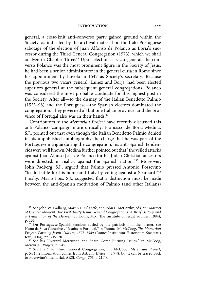#### introduction xxv

general, a close-knit anti-converso party gained ground within the Society, as indicated by the archival material on the Italo-Portuguese sabotage of the election of Juan Alfonso de Polanco as Borja's successor during the Third General Congregation (1573), which we shall analyze in Chapter Three.<sup>43</sup> Upon election as vicar general, the converso Polanco was the most prominent figure in the Society of Jesus; he had been a senior administrator in the general curia in Rome since his appointment by Loyola in 1547 as Society's secretary. Because the previous two vicars general, Laínez and Borja, had been elected superiors general at the subsequent general congregations, Polanco was considered the most probable candidate for this highest post in the Society. After all—to the dismay of the Italian Benedetto Palmio (1523–98) and the Portuguese—the Spanish electors dominated the congregation. They governed all but one Italian province, and the province of Portugal also was in their hands.<sup>44</sup>

Contributors to the *Mercurian Project* have recently discussed this anti-Polanco campaign more critically. Francisco de Borja Medina, S.J., pointed out that even though the Italian Benedetto Palmio denied in his unpublished autobiography the charge that he was part of the Portuguese intrigue during the congregation, his anti-Spanish tendencies were well known. Medina further pointed out that "the veiled attacks against Juan Alonso [*sic*] de Polanco for his Judeo-Christian ancestors were directed, in reality, against the Spanish nation."45 Moreover, John Padberg, S.J., argued that Palmio pressed Antonio Possevino "to do battle for his homeland Italy by voting against a Spaniard."46 Finally, Mario Fois, S.J., suggested that a distinction must be made between the anti-Spanish motivation of Palmio (and other Italians)

<sup>43</sup> See John W. Padberg, Martin D. O'Keefe, and John L. McCarthy, eds, *For Matters*  of Greater Moment: The First Thirty Jesuit General Congregations: A Brief History and *a Translation of the Decrees* (St. Louis, Mo.: The Institute of Jesuit Sources, 1994), p. 135.

<sup>&</sup>lt;sup>44</sup> On Portuguese-Spanish tensions fueled by the patriotism of the former, see Nuno da Silva Gonçalves, "Jesuits in Portugal," in Thomas M. McCoog, *The Mercurian Project: Forming Jesuit Culture, 1573–1580* (Rome: Institutum Historicum Societatis Iesu, 2004), pp. 719–20.

<sup>&</sup>lt;sup>45</sup> See his "Everard Mercurian and Spain. Some Burning Issues," in McCoog, *Mercurian Project*, p. 945.

<sup>&</sup>lt;sup>46</sup> See his "The Third General Congregation," in McCoog, Mercurian Project, p. 54 (the information comes from Astrain, *Historia*, 3:7–8, but it can be traced back to Possevino's memorial, ARSI, *Congr. 20b*, f. 210v ).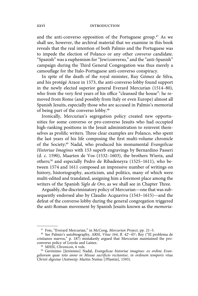and the anti-converso opposition of the Portuguese group.<sup>47</sup> As we shall see, however, the archival material that we examine in this book reveals that the real intention of both Palmio and the Portuguese was to impede the election of Polanco or any other *converso* candidate. "Spanish" was a euphemism for "Jew/converso," and the "anti-Spanish" campaign during the Third General Congregation was thus merely a camouflage for the Italo-Portuguese anti-converso conspiracy.

In spite of the death of the royal minister, Ruy Gómez de Silva, and his protégé Araoz in 1573, the anti-converso lobby found support in the newly elected superior general Everard Mercurian (1514–80), who from the very first years of his office "cleansed the house": he removed from Rome (and possibly from Italy or even Europe) almost all Spanish Jesuits, especially those who are accused in Palmio's memorial of being part of the converso lobby.48

Ironically, Mercurian's segregation policy created new opportunities for some converso or pro-converso Jesuits who had occupied high-ranking positions in the Jesuit administration to reinvent themselves as prolific writers. Three clear examples are Polanco, who spent the last years of his life composing the first multi-volume chronicle of the Society;49 Nadal, who produced his monumental *Evangelicae Historiae Imagines* with 153 superb engravings by Bernardino Passeri (d. c. 1590), Maarten de Vos (1532–1603), the brothers Wierix, and others;50 and especially Pedro de Ribadeneyra (1525–1611), who between 1574 and 1611 composed an impressive number of writings on history, historiography, asceticism, and politics, many of which were multi-edited and translated, assigning him a foremost place among the writers of the Spanish *Siglo de Oro*, as we shall see in Chapter Three.

Arguably, the discriminatory policy of Mercurian—one that was subsequently endorsed also by Claudio Acquaviva (1543–1615)—and the defeat of the converso lobby during the general congregation triggered the anti-Roman movement by Spanish Jesuits known as the *memoria-*

<sup>47</sup> Fois, "Everard Mercurian," in McCoog, *Mercurian Project,* pp. 21–5.

<sup>&</sup>lt;sup>48</sup> See Palmio's autobiography, ARSI, *Vitae 164*, ff. 42<sup>r</sup>–45<sup>v</sup>; Rey ("El problema de cristianos nuevos," p. 187) mistakenly argued that Mercurian maintained the proconverso policy of Loyola and Laínez.

<sup>49</sup> MHSI, *Chronicon*, 6 vols.

<sup>50</sup> Gerónimo [Jerónimo] Nadal, *Evangelicae historiae imagines: ex ordine Evangeliorum quae toto anno in Missae sacrifi cio recitantur, in ordinem temporis vitae Christi digestae* (Antwerp: Martin Nutius [/Plantin], 1593).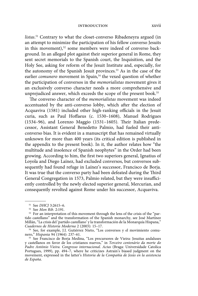#### introduction xxvii

*listas*. 51 Contrary to what the closet-converso Ribadeneyra argued (in an attempt to minimize the participation of his fellow converso Jesuits in this movement),<sup>52</sup> some members were indeed of converso background. In an alleged plot against their superior general in Rome, they sent secret memorials to the Spanish court, the Inquisition, and the Holy See, asking for reform of the Jesuit Institute and, especially, for the autonomy of the Spanish Jesuit provinces.<sup>53</sup> As in the case of the earlier *comunero* movement in Spain,<sup>54</sup> the vexed question of whether the participation of conversos in the *memorialistas* movement gives it an exclusively converso character needs a more comprehensive and unprejudiced answer, which exceeds the scope of the present book.<sup>55</sup>

The converso character of the *memorialistas* movement was indeed accentuated by the anti-converso lobby, which after the election of Acquaviva (1581) included other high-ranking officials in the Jesuit curia, such as Paul Hoffaeus (c. 1530-1608), Manuel Rodrigues  $(1534–96)$ , and Lorenzo Maggio  $(1531–1605)$ . Their Italian predecessor, Assistant General Benedetto Palmio, had fueled their anticonverso bias. It is evident in a manuscript that has remained virtually unknown for more than 400 years (its critical edition is published in the appendix to the present book). In it, the author relates how "the multitude and insolence of Spanish neophytes" in the Order had been growing. According to him, the first two superiors general, Ignatius of Loyola and Diego Laínez, had excluded conversos, but conversos subsequently had found refuge in Laínez's successor, Francisco de Borja. It was true that the converso party had been defeated during the Third General Congregation in 1573, Palmio related, but they were insufficiently controlled by the newly elected superior general, Mercurian, and consequently revolted against Rome under his successor, Acquaviva.

<sup>&</sup>lt;sup>51</sup> See *DHCJ* 3:2615-6.<br><sup>52</sup> See *Mon Rib.* 2:191.

<sup>&</sup>lt;sup>53</sup> For an interpretation of this movement through the lens of the crisis of the "partido castellano" and the transformation of the Spanish monarchy, see José Martínez Millán, "La crisis del 'partido castellano' y la transformación de la Monarquía Hispana," *Cuadernos de Historia Moderna* 2 (2003): 15–17.

<sup>54</sup> See, for example, J.I. Gutiérrez Nieto, "Los conversos y el movimiento comunero," *Hispania* 94 (1964): 237–61.

<sup>&</sup>lt;sup>55</sup> See Francisco de Borja Medina, "Los precursores de Vieira: Jesuitas andaluses y castellanos en favor de los cristianos nuevos," in *Terceiro centenário da morte do Padre António Vieira. Congresso internacional. Actas* (Braga: Universidade Catolica Portugues, 1999), pp. 494–7, where he criticizes Astrain's biased judgment on the movement, expressed in the latter's *Historia de la Compañía de Jesús en la asistencia de España*.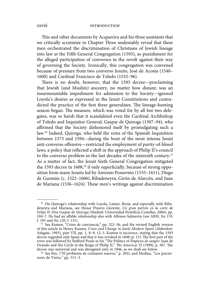#### xxviii introduction

This and other documents by Acquaviva and his three assistants that we critically scrutinize in Chapter Three undeniably reveal that these men orchestrated the discrimination of Christians of Jewish lineage into law at the Fifth General Congregation (1593), as punishment for the alleged participation of conversos in the revolt against their way of governing the Society. Ironically, this congregation was convened because of pressure from two converso Jesuits, José de Acosta (1540– 1600) and Cardinal Francisco de Toledo (1532–96).

There is no doubt, however, that the 1593 decree—proclaiming that Jewish (and Muslim) ancestry, no matter how distant, was an insurmountable impediment for admission to the Society—ignored Loyola's desires as expressed in the Jesuit Constitutions and contradicted the practice of the first three generalates. The lineage-hunting season began. The measure, which was voted for by all but two delegates, was so harsh that it scandalized even the Cardinal Archbishop of Toledo and Inquisitor General, Gaspar de Quiroga (1507–94), who affirmed that the Society dishonored itself by promulgating such a law.56 Indeed, Quiroga, who held the reins of the Spanish Inquisition between 1573 and 1594—during the bout of the most intense Jesuit anti-converso offensive—restricted the employment of purity-of-blood laws, a policy that reflected a shift in the approach of Philip II's council to the converso problem in the last decades of the sixteenth century.<sup>57</sup> As a matter of fact, the Jesuit Sixth General Congregation mitigated the 1593 decree in 1608,<sup>58</sup> if only superficially, because of strong opposition from many Jesuits led by Antonio Possevino (1533–1611), Diego de Guzmán (c. 1522–1606), Ribadeneyra, Girón de Alarcón, and Juan de Mariana (1536–1624). These men's writings against discrimination

<sup>56</sup> On Quiroga's relationship with Loyola, Laínez, Borja, and especially with Ribadeneyra and Mariana, see Henar Pizarro Llorente, *Un gran patrón en la corte de*  Felipe II: Don Gaspar de Quiroga (Madrid: Universidad Pontificia Comillas, 2004), pp. 104–7. He had an affable relationship also with Alfonso Salmerón (see ARSI, *Ita 119*, f. 195 and *Ita 120*, f. 131).

<sup>57</sup> See Kamen, "Crisis de conciencia," pp. 322–56, and the revised English version of this article in Henry Kamen, *Crisis and Change in Early Modern Spain* (Aldershot: Ashgate, 1993), part VII, pp. 1, 8–9, 12–3. Kamen is incorrect, stating that the 1593 decree regarded only Spain and that it was revoked in 1608 (p. 13). The first part of the error was followed by Stafford Poole in his "The Politics of *limpieza de sangre*: Juan de Ovando and His Circle in the Reign of Philip II," *The Americas* 55 (1999), p. 367. The decree was universal and was abrogated only in 1946, as we shall see below.

 $^{58}$  See Rey, ("El problema de cristianos nuevos," p. 203); and Medina, "Los precursores de Vieira," pp. 511–3.